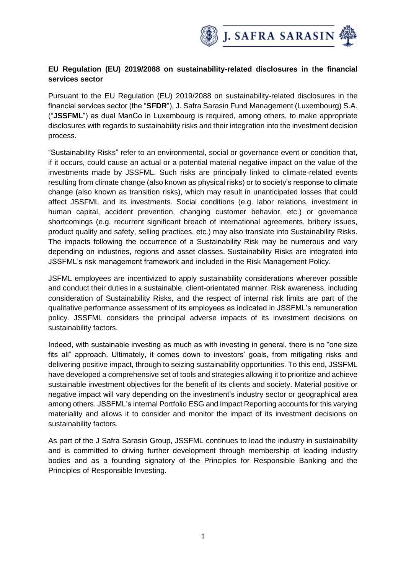

## **EU Regulation (EU) 2019/2088 on sustainability-related disclosures in the financial services sector**

Pursuant to the EU Regulation (EU) 2019/2088 on sustainability-related disclosures in the financial services sector (the "**SFDR**"), J. Safra Sarasin Fund Management (Luxembourg) S.A. ("**JSSFML**") as dual ManCo in Luxembourg is required, among others, to make appropriate disclosures with regards to sustainability risks and their integration into the investment decision process.

"Sustainability Risks" refer to an environmental, social or governance event or condition that, if it occurs, could cause an actual or a potential material negative impact on the value of the investments made by JSSFML. Such risks are principally linked to climate-related events resulting from climate change (also known as physical risks) or to society's response to climate change (also known as transition risks), which may result in unanticipated losses that could affect JSSFML and its investments. Social conditions (e.g. labor relations, investment in human capital, accident prevention, changing customer behavior, etc.) or governance shortcomings (e.g. recurrent significant breach of international agreements, bribery issues, product quality and safety, selling practices, etc.) may also translate into Sustainability Risks. The impacts following the occurrence of a Sustainability Risk may be numerous and vary depending on industries, regions and asset classes. Sustainability Risks are integrated into JSSFML's risk management framework and included in the Risk Management Policy.

JSFML employees are incentivized to apply sustainability considerations wherever possible and conduct their duties in a sustainable, client-orientated manner. Risk awareness, including consideration of Sustainability Risks, and the respect of internal risk limits are part of the qualitative performance assessment of its employees as indicated in JSSFML's remuneration policy. JSSFML considers the principal adverse impacts of its investment decisions on sustainability factors.

Indeed, with sustainable investing as much as with investing in general, there is no "one size fits all" approach. Ultimately, it comes down to investors' goals, from mitigating risks and delivering positive impact, through to seizing sustainability opportunities. To this end, JSSFML have developed a comprehensive set of tools and strategies allowing it to prioritize and achieve sustainable investment objectives for the benefit of its clients and society. Material positive or negative impact will vary depending on the investment's industry sector or geographical area among others. JSSFML's internal Portfolio ESG and Impact Reporting accounts for this varying materiality and allows it to consider and monitor the impact of its investment decisions on sustainability factors.

As part of the J Safra Sarasin Group, JSSFML continues to lead the industry in sustainability and is committed to driving further development through membership of leading industry bodies and as a founding signatory of the Principles for Responsible Banking and the Principles of Responsible Investing.